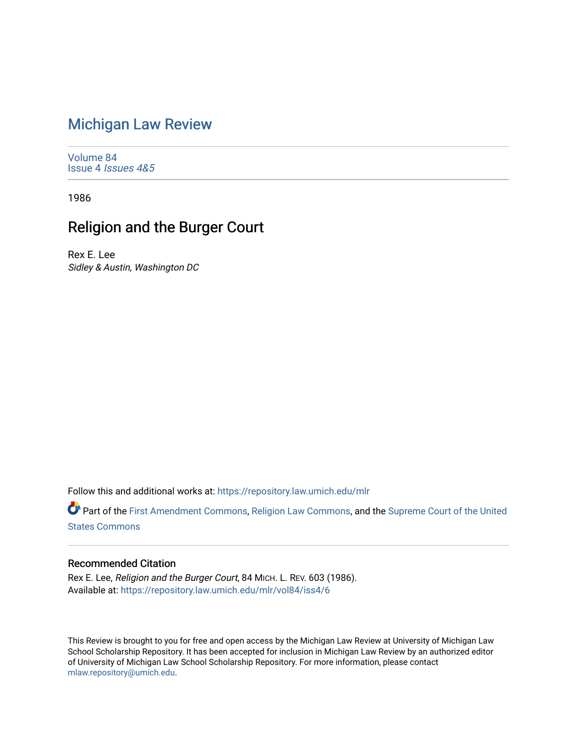## [Michigan Law Review](https://repository.law.umich.edu/mlr)

[Volume 84](https://repository.law.umich.edu/mlr/vol84) Issue 4 [Issues 4&5](https://repository.law.umich.edu/mlr/vol84/iss4) 

1986

## Religion and the Burger Court

Rex E. Lee Sidley & Austin, Washington DC

Follow this and additional works at: [https://repository.law.umich.edu/mlr](https://repository.law.umich.edu/mlr?utm_source=repository.law.umich.edu%2Fmlr%2Fvol84%2Fiss4%2F6&utm_medium=PDF&utm_campaign=PDFCoverPages) 

Part of the [First Amendment Commons,](http://network.bepress.com/hgg/discipline/1115?utm_source=repository.law.umich.edu%2Fmlr%2Fvol84%2Fiss4%2F6&utm_medium=PDF&utm_campaign=PDFCoverPages) [Religion Law Commons](http://network.bepress.com/hgg/discipline/872?utm_source=repository.law.umich.edu%2Fmlr%2Fvol84%2Fiss4%2F6&utm_medium=PDF&utm_campaign=PDFCoverPages), and the [Supreme Court of the United](http://network.bepress.com/hgg/discipline/1350?utm_source=repository.law.umich.edu%2Fmlr%2Fvol84%2Fiss4%2F6&utm_medium=PDF&utm_campaign=PDFCoverPages) [States Commons](http://network.bepress.com/hgg/discipline/1350?utm_source=repository.law.umich.edu%2Fmlr%2Fvol84%2Fiss4%2F6&utm_medium=PDF&utm_campaign=PDFCoverPages) 

## Recommended Citation

Rex E. Lee, Religion and the Burger Court, 84 MICH. L. REV. 603 (1986). Available at: [https://repository.law.umich.edu/mlr/vol84/iss4/6](https://repository.law.umich.edu/mlr/vol84/iss4/6?utm_source=repository.law.umich.edu%2Fmlr%2Fvol84%2Fiss4%2F6&utm_medium=PDF&utm_campaign=PDFCoverPages)

This Review is brought to you for free and open access by the Michigan Law Review at University of Michigan Law School Scholarship Repository. It has been accepted for inclusion in Michigan Law Review by an authorized editor of University of Michigan Law School Scholarship Repository. For more information, please contact [mlaw.repository@umich.edu.](mailto:mlaw.repository@umich.edu)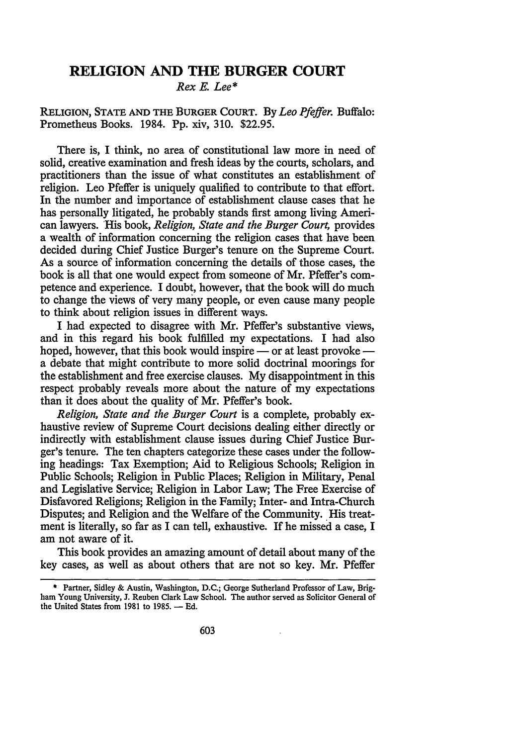## **RELIGION AND THE BURGER COURT**

*Rex E. Lee\**

**RELIGION, STATE AND THE BURGER COURT. By** *Leo Pfeffer.* Buffalo: Prometheus **Books. 1984. Pp. xiv, 310. \$22.95.**

There is, I think, no area of constitutional law more in need of solid, creative examination and fresh ideas **by** the courts, scholars, and practitioners than the issue of what constitutes an establishment of religion. Leo Pfeffer is uniquely qualified to contribute to that effort. In the number and importance of establishment clause cases that he has personally litigated, he probably stands first among living American lawyers. **His** book, *Religion, State and the Burger Court,* provides a wealth of information concerning the religion cases that have been decided during Chief Justice Burger's tenure on the Supreme Court. As a source of information concerning the details of those cases, the book is all that one would expect from someone of Mr. Pfeffer's competence and experience. I doubt, however, that the book will do much to change the views of very many people, or even cause many people to think about religion issues in different ways.

I had expected to disagree with Mr. Pfeffer's substantive views, and in this regard his book fulfilled my expectations. I had also hoped, however, that this book would inspire — or at least provoke a debate that might contribute to more solid doctrinal moorings for the establishment and free exercise clauses. **My** disappointment in this respect probably reveals more about the nature of my expectations than it does about the quality of Mr. Pfeffer's book.

*Religion, State and the Burger Court* is a complete, probably exhaustive review of Supreme Court decisions dealing either directly or indirectly with establishment clause issues during Chief Justice Burger's tenure. The ten chapters categorize these cases under the following headings: Tax Exemption; Aid to Religious Schools; Religion in Public Schools; Religion in Public Places; Religion in Military, Penal and Legislative Service; Religion in Labor Law; The Free Exercise of Disfavored Religions; Religion in the Family; Inter- and Intra-Church Disputes; and Religion and the Welfare of the Community. His treatment is literally, so far as I can tell, exhaustive. If he missed a case, I am not aware of it.

This book provides an amazing amount of detail about many of the key cases, as well as about others that are not so key. Mr. Pfeffer

<sup>\*</sup> Partner, Sidley **&** Austin, Washington, D.C.; George Sutherland Professor of Law, Brig**ham** Young University, J. Reuben Clark Law School. The author served as Solicitor General of the United States from 1981 to 1985. - Ed.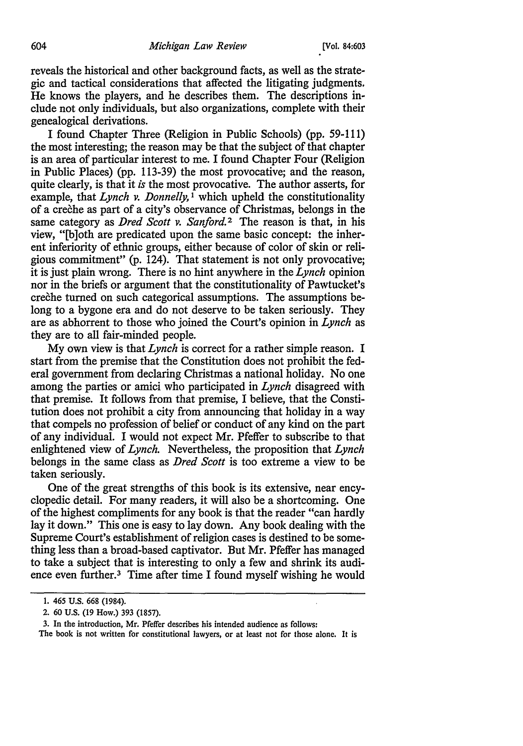reveals the historical and other background facts, as well as the strategic and tactical considerations that affected the litigating judgments. He knows the players, and he describes them. The descriptions include not only individuals, but also organizations, complete with their genealogical derivations.

I found Chapter Three (Religion in Public Schools) (pp. 59-111) the most interesting; the reason may be that the subject of that chapter is an area of particular interest to me. I found Chapter Four (Religion in Public Places) (pp. 113-39) the most provocative; and the reason, quite clearly, is that it *is* the most provocative. The author asserts, for example, that *Lynch v. Donnelly*,<sup>1</sup> which upheld the constitutionality of a creche as part of a city's observance of Christmas, belongs in the same category as *Dred Scott v. Sanford.2* The reason is that, in his view, "[b]oth are predicated upon the same basic concept: the inherent inferiority of ethnic groups, either because of color of skin or religious commitment" (p. 124). That statement is not only provocative; it is just plain wrong. There is no hint anywhere in the *Lynch* opinion nor in the briefs or argument that the constitutionality of Pawtucket's creche turned on such categorical assumptions. The assumptions belong to a bygone era and do not deserve to be taken seriously. They are as abhorrent to those who joined the Court's opinion in *Lynch* as they are to all fair-minded people.

My own view is that *Lynch* is correct for a rather simple reason. I start from the premise that the Constitution does not prohibit the federal government from declaring Christmas a national holiday. No one among the parties or amici who participated in *Lynch* disagreed with that premise. It follows from that premise, I believe, that the Constitution does not prohibit a city from announcing that holiday in a way that compels no profession of belief or conduct of any kind on the part of any individual. I would not expect Mr. Pfeffer to subscribe to that enlightened view of *Lynch.* Nevertheless, the proposition that *Lynch* belongs in the same class as *Dred Scott* is too extreme a view to be taken seriously.

One of the great strengths of this book is its extensive, near encyclopedic detail. For many readers, it will also be a shortcoming. One of the highest compliments for any book is that the reader "can hardly lay it down." This one is easy to lay down. Any book dealing with the Supreme Court's establishment of religion cases is destined to be something less than a broad-based captivator. But Mr. Pfeffer has managed to take a subject that is interesting to only a few and shrink its audience even further.3 Time after time I found myself wishing he would

The book is not written for constitutional lawyers, or at least not for those alone. It is

**<sup>1.</sup>** 465 **U.S.** 668 (1984).

<sup>2. 60</sup> U.S. (19 How.) 393 **(1857).**

<sup>3.</sup> In the introduction, Mr. Pfeffer describes his intended audience as follows: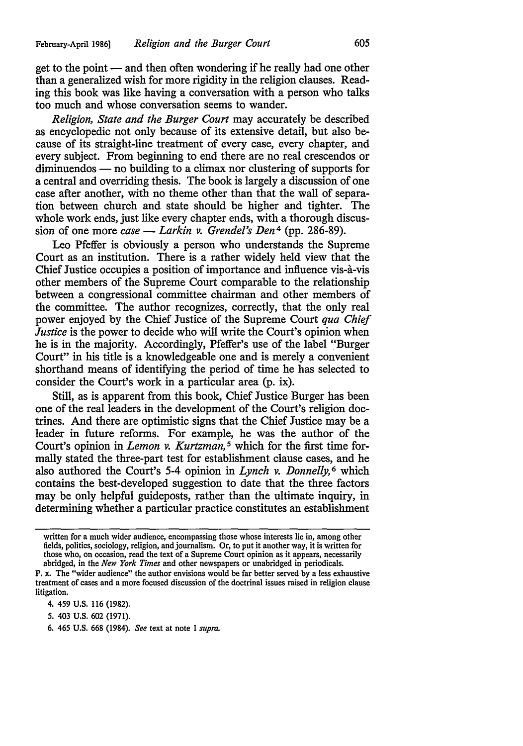get to the point — and then often wondering if he really had one other than a generalized wish for more rigidity in the religion clauses. Reading this book was like having a conversation with a person who talks too much and whose conversation seems to wander.

*Religion, State and the Burger Court* may accurately be described as encyclopedic not only because of its extensive detail, but also because of its straight-line treatment of every case, every chapter, and every subject. From beginning to end there are no real crescendos or diminuendos — no building to a climax nor clustering of supports for a central and overriding thesis. The book is largely a discussion of one case after another, with no theme other than that the wall of separation between church and state should be higher and tighter. The whole work ends, just like every chapter ends, with a thorough discussion of one more *case* **-** *Larkin v. Grendel's Den4* (pp. 286-89).

Leo Pfeffer is obviously a person who understands the Supreme Court as an institution. There is a rather widely held view that the Chief Justice occupies a position of importance and influence vis-à-vis other members of the Supreme Court comparable to the relationship between a congressional committee chairman and other members of the committee. The author recognizes, correctly, that the only real power enjoyed by the Chief Justice of the Supreme Court *qua Chief Justice* is the power to decide who will write the Court's opinion when he is in the majority. Accordingly, Pfeffer's use of the label "Burger Court" in his title is a knowledgeable one and is merely a convenient shorthand means of identifying the period of time he has selected to consider the Court's work in a particular area (p. ix).

Still, as is apparent from this book, Chief Justice Burger has been one of the real leaders in the development of the Court's religion doctrines. And there are optimistic signs that the Chief Justice may be a leader in future reforms. For example, he was the author of the Court's opinion in *Lemon v. Kurtzman, <sup>5</sup>*which for the first time formally stated the three-part test for establishment clause cases, and he also authored the Court's 5-4 opinion in *Lynch v. Donnelly,6* which contains the best-developed suggestion to date that the three factors may be only helpful guideposts, rather than the ultimate inquiry, in determining whether a particular practice constitutes an establishment

6. 465 U.S. 668 (1984). *See* text at note *1 supra.*

written for a much wider audience, encompassing those whose interests lie in, among other fields, politics, sociology, religion, and journalism. Or, to put it another way, it is written for those who, on occasion, read the text of a Supreme Court opinion as it appears, necessarily abridged, in the *New York Times* and other newspapers or unabridged in periodicals.

P. x. The "wider audience" the author envisions would be far better served by a less exhaustive treatment of cases and a more focused discussion of the doctrinal issues raised in religion clause litigation.

<sup>4. 459</sup> U.S. 116 (1982).

<sup>5. 403</sup> U.S. 602 (1971).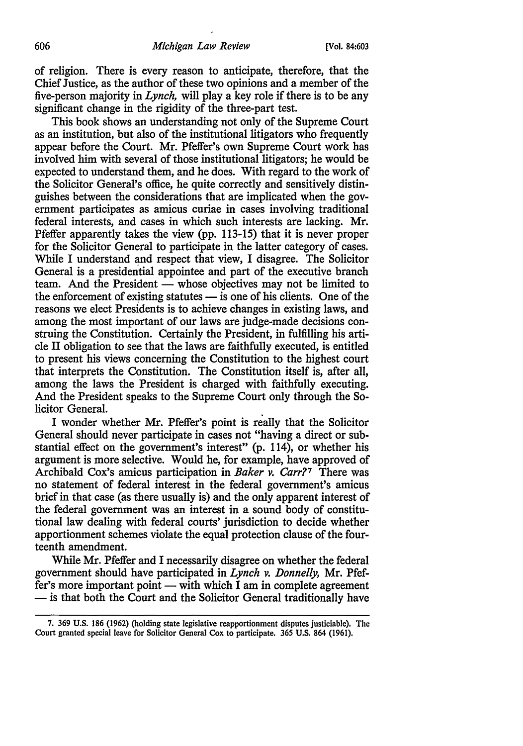of religion. There is every reason to anticipate, therefore, that the Chief Justice, as the author of these two opinions and a member of the five-person majority in *Lynch,* will play a key role if there is to be any significant change in the rigidity of the three-part test.

This book shows an understanding not only of the Supreme Court as an institution, but also of the institutional litigators who frequently appear before the Court. Mr. Pfeffer's own Supreme Court work has involved him with several of those institutional litigators; he would be expected to understand them, and he does. With regard to the work of the Solicitor General's office, he quite correctly and sensitively distinguishes between the considerations that are implicated when the government participates as amicus curiae in cases involving traditional federal interests, and cases in which such interests are lacking. Mr. Pfeffer apparently takes the view (pp. 113-15) that it is never proper for the Solicitor General to participate in the latter category of cases. While I understand and respect that view, I disagree. The Solicitor General is a presidential appointee and part of the executive branch team. And the President - whose objectives may not be limited to the enforcement of existing statutes **-** is one of his clients. One of the reasons we elect Presidents is to achieve changes in existing laws, and among the most important of our laws are judge-made decisions construing the Constitution. Certainly the President, in fulfilling his article II obligation to see that the laws are faithfully executed, is entitled to present his views concerning the Constitution to the highest court that interprets the Constitution. The Constitution itself is, after all, among the laws the President is charged with faithfully executing. And the President speaks to the Supreme Court only through the Solicitor General.

I wonder whether Mr. Pfeffer's point is really that the Solicitor General should never participate in cases not "having a direct or substantial effect on the government's interest" (p. 114), or whether his argument is more selective. Would he, for example, have approved of Archibald Cox's amicus participation in *Baker v. Carr?7* There was no statement of federal interest in the federal government's amicus brief in that case (as there usually is) and the only apparent interest of the federal government was an interest in a sound body of constitutional law dealing with federal courts' jurisdiction to decide whether apportionment schemes violate the equal protection clause of the fourteenth amendment.

While Mr. Pfeffer and I necessarily disagree on whether the federal government should have participated in *Lynch v. Donnelly,* Mr. Pfeffer's more important point — with which I am in complete agreement - is that both the Court and the Solicitor General traditionally have

<sup>7. 369</sup> U.S. 186 (1962) (holding state legislative reapportionment disputes justiciable). The Court granted special leave for Solicitor General Cox to participate. **365 U.S.** 864 **(1961).**